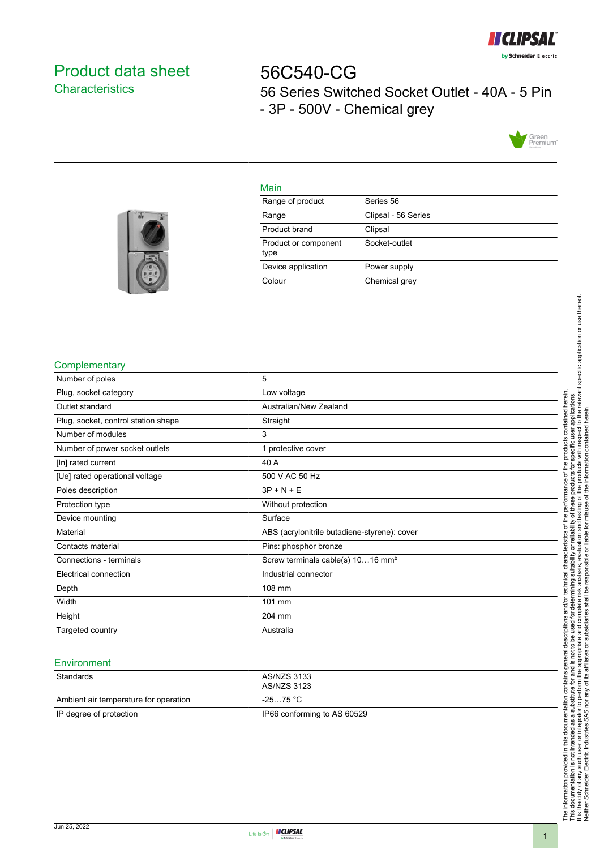

# <span id="page-0-0"></span>Product data sheet **Characteristics**

56C540-CG 56 Series Switched Socket Outlet - 40A - 5 Pin - 3P - 500V - Chemical grey



## Main

| Range of product             | Series 56           |
|------------------------------|---------------------|
| Range                        | Clipsal - 56 Series |
| Product brand                | Clipsal             |
| Product or component<br>type | Socket-outlet       |
| Device application           | Power supply        |
| Colour                       | Chemical grey       |
|                              |                     |



## **Complementary**

| Number of poles                     | 5                                             |
|-------------------------------------|-----------------------------------------------|
| Plug, socket category               | Low voltage                                   |
| Outlet standard                     | Australian/New Zealand                        |
| Plug, socket, control station shape | Straight                                      |
| Number of modules                   | 3                                             |
| Number of power socket outlets      | 1 protective cover                            |
| [In] rated current                  | 40 A                                          |
| [Ue] rated operational voltage      | 500 V AC 50 Hz                                |
| Poles description                   | $3P + N + E$                                  |
| Protection type                     | Without protection                            |
| Device mounting                     | Surface                                       |
| Material                            | ABS (acrylonitrile butadiene-styrene): cover  |
| Contacts material                   | Pins: phosphor bronze                         |
| Connections - terminals             | Screw terminals cable(s) 1016 mm <sup>2</sup> |
| Electrical connection               | Industrial connector                          |
| Depth                               | 108 mm                                        |
| Width                               | 101 mm                                        |
| Height                              | 204 mm                                        |
| Targeted country                    | Australia                                     |
|                                     |                                               |

#### **Environment**

| Standards                             | AS/NZS 3133<br>AS/NZS 3123  |
|---------------------------------------|-----------------------------|
| Ambient air temperature for operation | -25…75 °C                   |
| IP degree of protection               | IP66 conforming to AS 60529 |